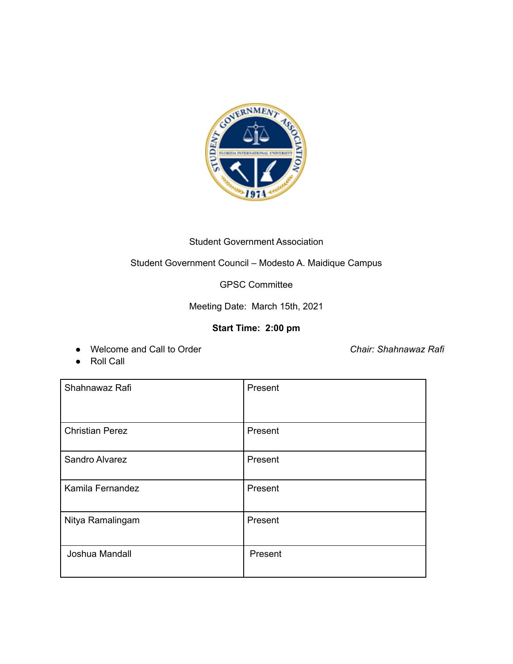

# Student Government Association

## Student Government Council – Modesto A. Maidique Campus

## GPSC Committee

Meeting Date: March 15th, 2021

## **Start Time: 2:00 pm**

● Welcome and Call to Order *Chair: Shahnawaz Rafi*

● Roll Call

| Shahnawaz Rafi         | Present |
|------------------------|---------|
| <b>Christian Perez</b> | Present |
| Sandro Alvarez         | Present |
| Kamila Fernandez       | Present |
| Nitya Ramalingam       | Present |
| Joshua Mandall         | Present |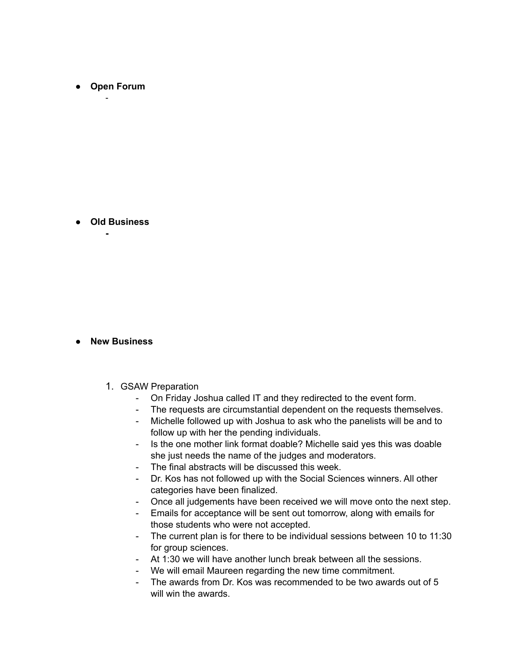**● Open Forum** -

**● Old Business -**

#### **● New Business**

- 1. GSAW Preparation
	- On Friday Joshua called IT and they redirected to the event form.
	- The requests are circumstantial dependent on the requests themselves.
	- Michelle followed up with Joshua to ask who the panelists will be and to follow up with her the pending individuals.
	- Is the one mother link format doable? Michelle said yes this was doable she just needs the name of the judges and moderators.
	- The final abstracts will be discussed this week.
	- Dr. Kos has not followed up with the Social Sciences winners. All other categories have been finalized.
	- Once all judgements have been received we will move onto the next step.
	- Emails for acceptance will be sent out tomorrow, along with emails for those students who were not accepted.
	- The current plan is for there to be individual sessions between 10 to 11:30 for group sciences.
	- At 1:30 we will have another lunch break between all the sessions.
	- We will email Maureen regarding the new time commitment.
	- The awards from Dr. Kos was recommended to be two awards out of 5 will win the awards.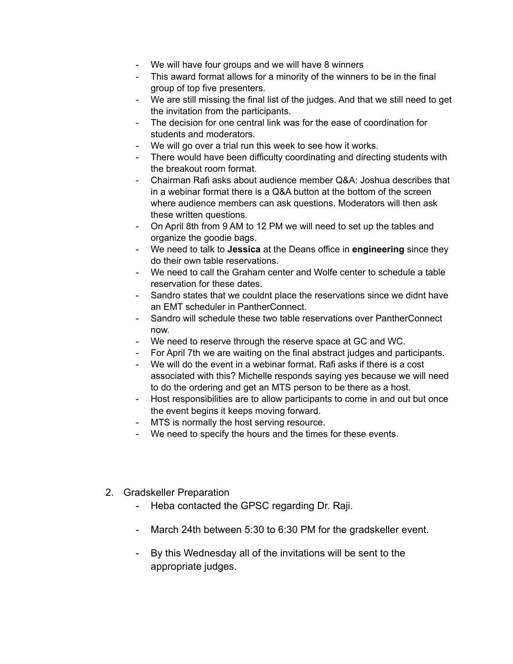- We will have four groups and we will have 8 winners
- This award format allows for a minority of the winners to be in the final group of top five presenters.
- We are still missing the final list of the judges. And that we still need to get the invitation from the participants.
- The decision for one central link was for the ease of coordination for students and moderators.
- We will go over a trial run this week to see how it works.
- There would have been difficulty coordinating and directing students with the breakout room format.
- Chairman Rafi asks about audience member Q&A: Joshua describes that in a webinar format there is a Q&A button at the bottom of the screen where audience members can ask questions. Moderators will then ask these written questions.
- On April 8th from 9 AM to 12 PM we will need to set up the tables and organize the goodie bags.
- We need to talk to **Jessica** at the Deans office in **engineering** since they do their own table reservations.
- We need to call the Graham center and Wolfe center to schedule a table reservation for these dates.
- Sandro states that we couldnt place the reservations since we didnt have an EMT scheduler in PantherConnect.
- Sandro will schedule these two table reservations over PantherConnect now.
- We need to reserve through the reserve space at GC and WC.
- For April 7th we are waiting on the final abstract judges and participants.
- We will do the event in a webinar format. Rafi asks if there is a cost associated with this? Michelle responds saying yes because we will need to do the ordering and get an MTS person to be there as a host.
- Host responsibilities are to allow participants to come in and out but once the event begins it keeps moving forward.
- MTS is normally the host serving resource.
- We need to specify the hours and the times for these events.
- 2. Gradskeller Preparation
	- Heba contacted the GPSC regarding Dr. Raji.
	- March 24th between 5:30 to 6:30 PM for the gradskeller event.
	- By this Wednesday all of the invitations will be sent to the appropriate judges.